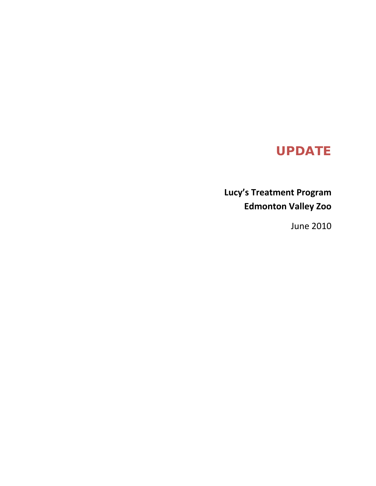# **UPDATE**

**Lucy's Treatment Program Edmonton Valley Zoo**

June 2010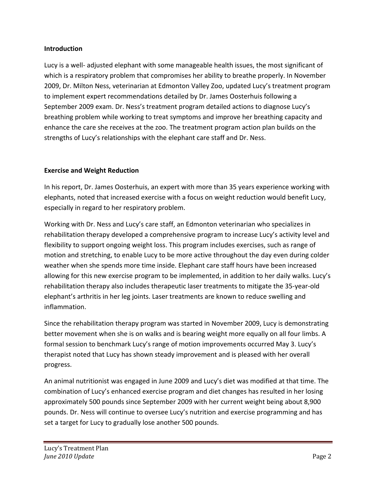#### **Introduction**

Lucy is a well‐ adjusted elephant with some manageable health issues, the most significant of which is a respiratory problem that compromises her ability to breathe properly. In November 2009, Dr. Milton Ness, veterinarian at Edmonton Valley Zoo, updated Lucy's treatment program to implement expert recommendations detailed by Dr. James Oosterhuis following a September 2009 exam. Dr. Ness's treatment program detailed actions to diagnose Lucy's breathing problem while working to treat symptoms and improve her breathing capacity and enhance the care she receives at the zoo. The treatment program action plan builds on the strengths of Lucy's relationships with the elephant care staff and Dr. Ness.

## **Exercise and Weight Reduction**

In his report, Dr. James Oosterhuis, an expert with more than 35 years experience working with elephants, noted that increased exercise with a focus on weight reduction would benefit Lucy, especially in regard to her respiratory problem.

Working with Dr. Ness and Lucy's care staff, an Edmonton veterinarian who specializes in rehabilitation therapy developed a comprehensive program to increase Lucy's activity level and flexibility to support ongoing weight loss. This program includes exercises, such as range of motion and stretching, to enable Lucy to be more active throughout the day even during colder weather when she spends more time inside. Elephant care staff hours have been increased allowing for this new exercise program to be implemented, in addition to her daily walks. Lucy's rehabilitation therapy also includes therapeutic laser treatments to mitigate the 35‐year‐old elephant's arthritis in her leg joints. Laser treatments are known to reduce swelling and inflammation.

Since the rehabilitation therapy program was started in November 2009, Lucy is demonstrating better movement when she is on walks and is bearing weight more equally on all four limbs. A formal session to benchmark Lucy's range of motion improvements occurred May 3. Lucy's therapist noted that Lucy has shown steady improvement and is pleased with her overall progress.

An animal nutritionist was engaged in June 2009 and Lucy's diet was modified at that time. The combination of Lucy's enhanced exercise program and diet changes has resulted in her losing approximately 500 pounds since September 2009 with her current weight being about 8,900 pounds. Dr. Ness will continue to oversee Lucy's nutrition and exercise programming and has set a target for Lucy to gradually lose another 500 pounds.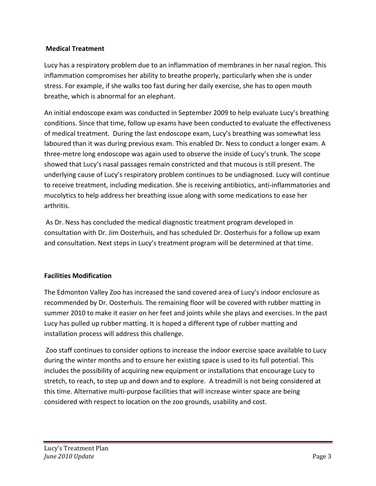## **Medical Treatment**

Lucy has a respiratory problem due to an inflammation of membranes in her nasal region. This inflammation compromises her ability to breathe properly, particularly when she is under stress. For example, if she walks too fast during her daily exercise, she has to open mouth breathe, which is abnormal for an elephant.

An initial endoscope exam was conducted in September 2009 to help evaluate Lucy's breathing conditions. Since that time, follow up exams have been conducted to evaluate the effectiveness of medical treatment. During the last endoscope exam, Lucy's breathing was somewhat less laboured than it was during previous exam. This enabled Dr. Ness to conduct a longer exam. A three‐metre long endoscope was again used to observe the inside of Lucy's trunk. The scope showed that Lucy's nasal passages remain constricted and that mucous is still present. The underlying cause of Lucy's respiratory problem continues to be undiagnosed. Lucy will continue to receive treatment, including medication. She is receiving antibiotics, anti-inflammatories and mucolytics to help address her breathing issue along with some medications to ease her arthritis.

As Dr. Ness has concluded the medical diagnostic treatment program developed in consultation with Dr. Jim Oosterhuis, and has scheduled Dr. Oosterhuis for a follow up exam and consultation. Next steps in Lucy's treatment program will be determined at that time.

#### **Facilities Modification**

The Edmonton Valley Zoo has increased the sand covered area of Lucy's indoor enclosure as recommended by Dr. Oosterhuis. The remaining floor will be covered with rubber matting in summer 2010 to make it easier on her feet and joints while she plays and exercises. In the past Lucy has pulled up rubber matting. It is hoped a different type of rubber matting and installation process will address this challenge.

Zoo staff continues to consider options to increase the indoor exercise space available to Lucy during the winter months and to ensure her existing space is used to its full potential. This includes the possibility of acquiring new equipment or installations that encourage Lucy to stretch, to reach, to step up and down and to explore. A treadmill is not being considered at this time. Alternative multi‐purpose facilities that will increase winter space are being considered with respect to location on the zoo grounds, usability and cost.